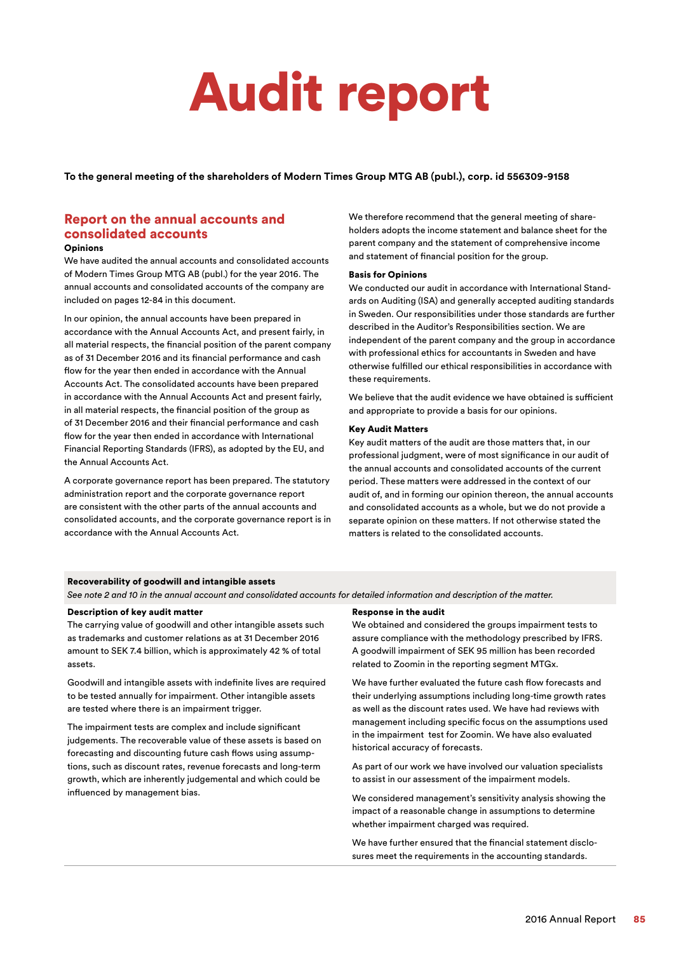# Audit report

**To the general meeting of the shareholders of Modern Times Group MTG AB (publ.), corp. id 556309-9158**

# Report on the annual accounts and consolidated accounts

### **Opinions**

We have audited the annual accounts and consolidated accounts of Modern Times Group MTG AB (publ.) for the year 2016. The annual accounts and consolidated accounts of the company are included on pages 12-84 in this document.

In our opinion, the annual accounts have been prepared in accordance with the Annual Accounts Act, and present fairly, in all material respects, the financial position of the parent company as of 31 December 2016 and its financial performance and cash flow for the year then ended in accordance with the Annual Accounts Act. The consolidated accounts have been prepared in accordance with the Annual Accounts Act and present fairly, in all material respects, the financial position of the group as of 31 December 2016 and their financial performance and cash flow for the year then ended in accordance with International Financial Reporting Standards (IFRS), as adopted by the EU, and the Annual Accounts Act.

A corporate governance report has been prepared. The statutory administration report and the corporate governance report are consistent with the other parts of the annual accounts and consolidated accounts, and the corporate governance report is in accordance with the Annual Accounts Act.

We therefore recommend that the general meeting of shareholders adopts the income statement and balance sheet for the parent company and the statement of comprehensive income and statement of financial position for the group.

# Basis for Opinions

We conducted our audit in accordance with International Standards on Auditing (ISA) and generally accepted auditing standards in Sweden. Our responsibilities under those standards are further described in the Auditor's Responsibilities section. We are independent of the parent company and the group in accordance with professional ethics for accountants in Sweden and have otherwise fulfilled our ethical responsibilities in accordance with these requirements.

We believe that the audit evidence we have obtained is sufficient and appropriate to provide a basis for our opinions.

# Key Audit Matters

Key audit matters of the audit are those matters that, in our professional judgment, were of most significance in our audit of the annual accounts and consolidated accounts of the current period. These matters were addressed in the context of our audit of, and in forming our opinion thereon, the annual accounts and consolidated accounts as a whole, but we do not provide a separate opinion on these matters. If not otherwise stated the matters is related to the consolidated accounts.

# Recoverability of goodwill and intangible assets

*See note 2 and 10 in the annual account and consolidated accounts for detailed information and description of the matter.*

# Description of key audit matter

The carrying value of goodwill and other intangible assets such as trademarks and customer relations as at 31 December 2016 amount to SEK 7.4 billion, which is approximately 42 % of total assets.

Goodwill and intangible assets with indefinite lives are required to be tested annually for impairment. Other intangible assets are tested where there is an impairment trigger.

The impairment tests are complex and include significant judgements. The recoverable value of these assets is based on forecasting and discounting future cash flows using assumptions, such as discount rates, revenue forecasts and long-term growth, which are inherently judgemental and which could be influenced by management bias.

# Response in the audit

We obtained and considered the groups impairment tests to assure compliance with the methodology prescribed by IFRS. A goodwill impairment of SEK 95 million has been recorded related to Zoomin in the reporting segment MTGx.

We have further evaluated the future cash flow forecasts and their underlying assumptions including long-time growth rates as well as the discount rates used. We have had reviews with management including specific focus on the assumptions used in the impairment test for Zoomin. We have also evaluated historical accuracy of forecasts.

As part of our work we have involved our valuation specialists to assist in our assessment of the impairment models.

We considered management's sensitivity analysis showing the impact of a reasonable change in assumptions to determine whether impairment charged was required.

We have further ensured that the financial statement disclosures meet the requirements in the accounting standards.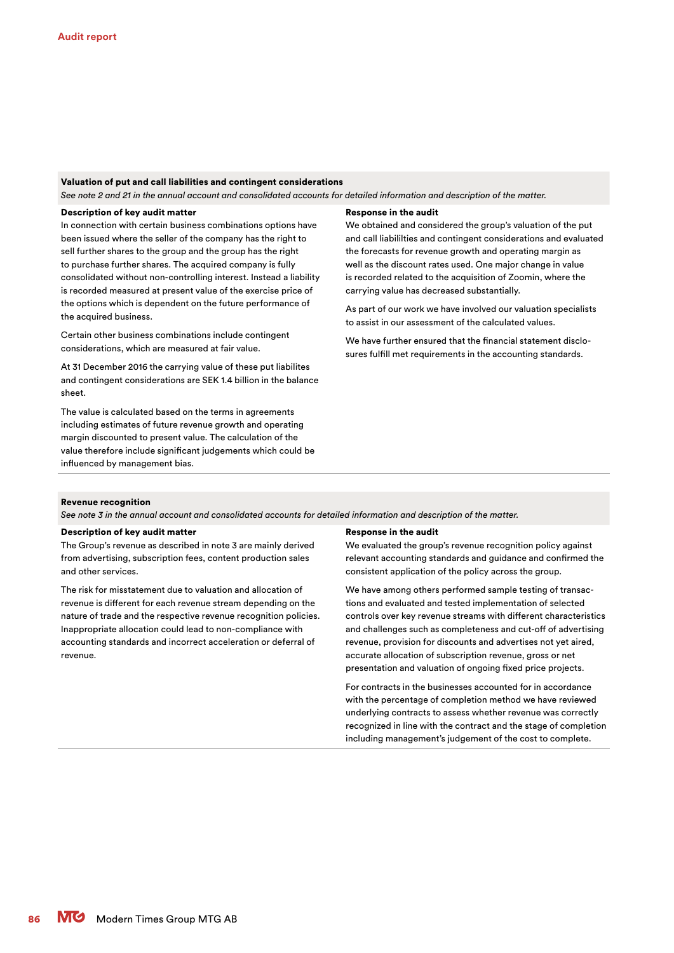## Valuation of put and call liabilities and contingent considerations

*See note 2 and 21 in the annual account and consolidated accounts for detailed information and description of the matter.*

# Description of key audit matter

In connection with certain business combinations options have been issued where the seller of the company has the right to sell further shares to the group and the group has the right to purchase further shares. The acquired company is fully consolidated without non-controlling interest. Instead a liability is recorded measured at present value of the exercise price of the options which is dependent on the future performance of the acquired business.

Certain other business combinations include contingent considerations, which are measured at fair value.

At 31 December 2016 the carrying value of these put liabilites and contingent considerations are SEK 1.4 billion in the balance sheet.

The value is calculated based on the terms in agreements including estimates of future revenue growth and operating margin discounted to present value. The calculation of the value therefore include significant judgements which could be influenced by management bias.

#### Response in the audit

We obtained and considered the group's valuation of the put and call liabililties and contingent considerations and evaluated the forecasts for revenue growth and operating margin as well as the discount rates used. One major change in value is recorded related to the acquisition of Zoomin, where the carrying value has decreased substantially.

As part of our work we have involved our valuation specialists to assist in our assessment of the calculated values.

We have further ensured that the financial statement disclosures fulfill met requirements in the accounting standards.

#### Revenue recognition

*See note 3 in the annual account and consolidated accounts for detailed information and description of the matter.*

#### Description of key audit matter

The Group's revenue as described in note 3 are mainly derived from advertising, subscription fees, content production sales and other services.

The risk for misstatement due to valuation and allocation of revenue is different for each revenue stream depending on the nature of trade and the respective revenue recognition policies. Inappropriate allocation could lead to non-compliance with accounting standards and incorrect acceleration or deferral of revenue.

#### Response in the audit

We evaluated the group's revenue recognition policy against relevant accounting standards and guidance and confirmed the consistent application of the policy across the group.

We have among others performed sample testing of transactions and evaluated and tested implementation of selected controls over key revenue streams with different characteristics and challenges such as completeness and cut-off of advertising revenue, provision for discounts and advertises not yet aired, accurate allocation of subscription revenue, gross or net presentation and valuation of ongoing fixed price projects.

For contracts in the businesses accounted for in accordance with the percentage of completion method we have reviewed underlying contracts to assess whether revenue was correctly recognized in line with the contract and the stage of completion including management's judgement of the cost to complete.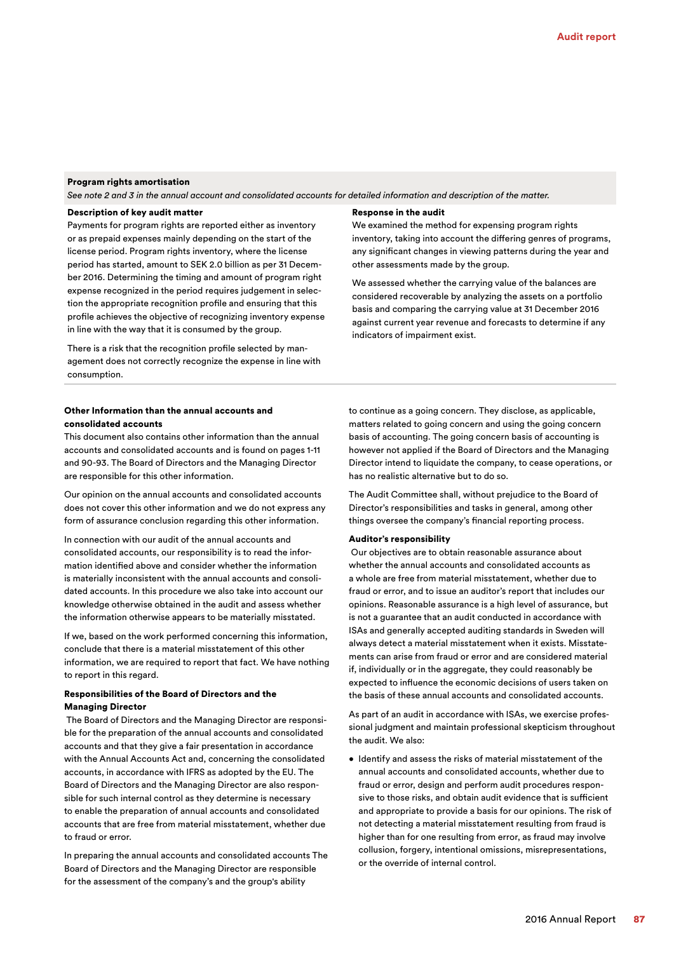# Program rights amortisation

*See note 2 and 3 in the annual account and consolidated accounts for detailed information and description of the matter.*

# Description of key audit matter

Payments for program rights are reported either as inventory or as prepaid expenses mainly depending on the start of the license period. Program rights inventory, where the license period has started, amount to SEK 2.0 billion as per 31 December 2016. Determining the timing and amount of program right expense recognized in the period requires judgement in selection the appropriate recognition profile and ensuring that this profile achieves the objective of recognizing inventory expense in line with the way that it is consumed by the group.

There is a risk that the recognition profile selected by management does not correctly recognize the expense in line with consumption.

# Other Information than the annual accounts and consolidated accounts

This document also contains other information than the annual accounts and consolidated accounts and is found on pages 1-11 and 90-93. The Board of Directors and the Managing Director are responsible for this other information.

Our opinion on the annual accounts and consolidated accounts does not cover this other information and we do not express any form of assurance conclusion regarding this other information.

In connection with our audit of the annual accounts and consolidated accounts, our responsibility is to read the information identified above and consider whether the information is materially inconsistent with the annual accounts and consolidated accounts. In this procedure we also take into account our knowledge otherwise obtained in the audit and assess whether the information otherwise appears to be materially misstated.

If we, based on the work performed concerning this information, conclude that there is a material misstatement of this other information, we are required to report that fact. We have nothing to report in this regard.

# Responsibilities of the Board of Directors and the Managing Director

 The Board of Directors and the Managing Director are responsible for the preparation of the annual accounts and consolidated accounts and that they give a fair presentation in accordance with the Annual Accounts Act and, concerning the consolidated accounts, in accordance with IFRS as adopted by the EU. The Board of Directors and the Managing Director are also responsible for such internal control as they determine is necessary to enable the preparation of annual accounts and consolidated accounts that are free from material misstatement, whether due to fraud or error.

In preparing the annual accounts and consolidated accounts The Board of Directors and the Managing Director are responsible for the assessment of the company's and the group's ability

#### Response in the audit

We examined the method for expensing program rights inventory, taking into account the differing genres of programs, any significant changes in viewing patterns during the year and other assessments made by the group.

We assessed whether the carrying value of the balances are considered recoverable by analyzing the assets on a portfolio basis and comparing the carrying value at 31 December 2016 against current year revenue and forecasts to determine if any indicators of impairment exist.

to continue as a going concern. They disclose, as applicable, matters related to going concern and using the going concern basis of accounting. The going concern basis of accounting is however not applied if the Board of Directors and the Managing Director intend to liquidate the company, to cease operations, or has no realistic alternative but to do so.

The Audit Committee shall, without prejudice to the Board of Director's responsibilities and tasks in general, among other things oversee the company's financial reporting process.

#### Auditor's responsibility

 Our objectives are to obtain reasonable assurance about whether the annual accounts and consolidated accounts as a whole are free from material misstatement, whether due to fraud or error, and to issue an auditor's report that includes our opinions. Reasonable assurance is a high level of assurance, but is not a guarantee that an audit conducted in accordance with ISAs and generally accepted auditing standards in Sweden will always detect a material misstatement when it exists. Misstatements can arise from fraud or error and are considered material if, individually or in the aggregate, they could reasonably be expected to influence the economic decisions of users taken on the basis of these annual accounts and consolidated accounts.

As part of an audit in accordance with ISAs, we exercise professional judgment and maintain professional skepticism throughout the audit. We also:

• Identify and assess the risks of material misstatement of the annual accounts and consolidated accounts, whether due to fraud or error, design and perform audit procedures responsive to those risks, and obtain audit evidence that is sufficient and appropriate to provide a basis for our opinions. The risk of not detecting a material misstatement resulting from fraud is higher than for one resulting from error, as fraud may involve collusion, forgery, intentional omissions, misrepresentations, or the override of internal control.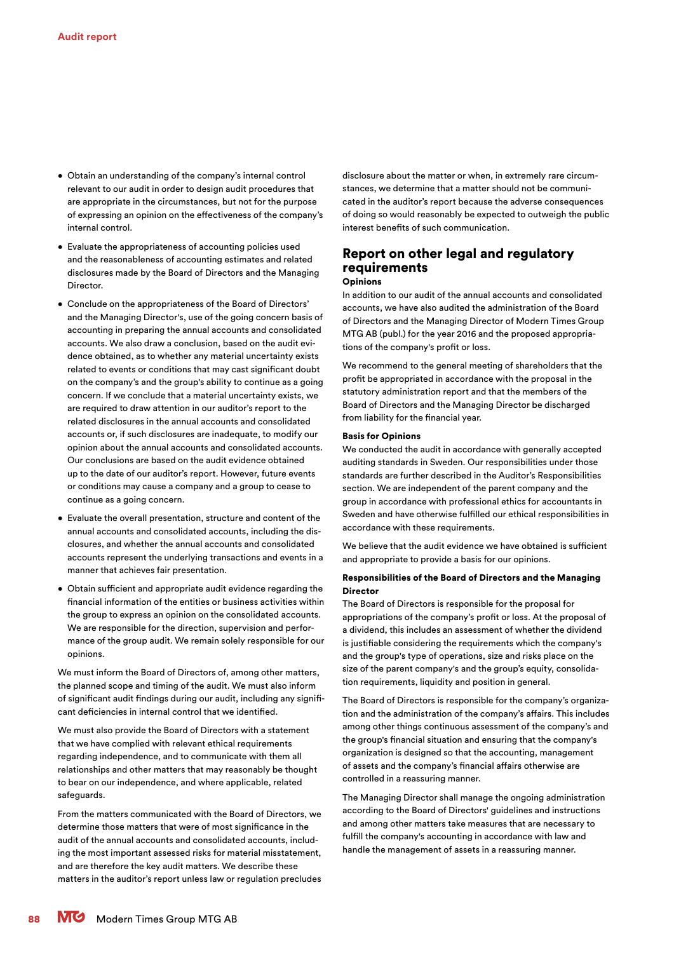- Obtain an understanding of the company's internal control relevant to our audit in order to design audit procedures that are appropriate in the circumstances, but not for the purpose of expressing an opinion on the effectiveness of the company's internal control.
- Evaluate the appropriateness of accounting policies used and the reasonableness of accounting estimates and related disclosures made by the Board of Directors and the Managing Director.
- Conclude on the appropriateness of the Board of Directors' and the Managing Director's, use of the going concern basis of accounting in preparing the annual accounts and consolidated accounts. We also draw a conclusion, based on the audit evidence obtained, as to whether any material uncertainty exists related to events or conditions that may cast significant doubt on the company's and the group's ability to continue as a going concern. If we conclude that a material uncertainty exists, we are required to draw attention in our auditor's report to the related disclosures in the annual accounts and consolidated accounts or, if such disclosures are inadequate, to modify our opinion about the annual accounts and consolidated accounts. Our conclusions are based on the audit evidence obtained up to the date of our auditor's report. However, future events or conditions may cause a company and a group to cease to continue as a going concern.
- Evaluate the overall presentation, structure and content of the annual accounts and consolidated accounts, including the disclosures, and whether the annual accounts and consolidated accounts represent the underlying transactions and events in a manner that achieves fair presentation.
- Obtain sufficient and appropriate audit evidence regarding the financial information of the entities or business activities within the group to express an opinion on the consolidated accounts. We are responsible for the direction, supervision and performance of the group audit. We remain solely responsible for our opinions.

We must inform the Board of Directors of, among other matters, the planned scope and timing of the audit. We must also inform of significant audit findings during our audit, including any significant deficiencies in internal control that we identified.

We must also provide the Board of Directors with a statement that we have complied with relevant ethical requirements regarding independence, and to communicate with them all relationships and other matters that may reasonably be thought to bear on our independence, and where applicable, related safeguards.

From the matters communicated with the Board of Directors, we determine those matters that were of most significance in the audit of the annual accounts and consolidated accounts, including the most important assessed risks for material misstatement, and are therefore the key audit matters. We describe these matters in the auditor's report unless law or regulation precludes disclosure about the matter or when, in extremely rare circumstances, we determine that a matter should not be communicated in the auditor's report because the adverse consequences of doing so would reasonably be expected to outweigh the public interest benefits of such communication.

# Report on other legal and regulatory requirements

Opinions

In addition to our audit of the annual accounts and consolidated accounts, we have also audited the administration of the Board of Directors and the Managing Director of Modern Times Group MTG AB (publ.) for the year 2016 and the proposed appropriations of the company's profit or loss.

We recommend to the general meeting of shareholders that the profit be appropriated in accordance with the proposal in the statutory administration report and that the members of the Board of Directors and the Managing Director be discharged from liability for the financial year.

#### Basis for Opinions

We conducted the audit in accordance with generally accepted auditing standards in Sweden. Our responsibilities under those standards are further described in the Auditor's Responsibilities section. We are independent of the parent company and the group in accordance with professional ethics for accountants in Sweden and have otherwise fulfilled our ethical responsibilities in accordance with these requirements.

We believe that the audit evidence we have obtained is sufficient and appropriate to provide a basis for our opinions.

# Responsibilities of the Board of Directors and the Managing Director

The Board of Directors is responsible for the proposal for appropriations of the company's profit or loss. At the proposal of a dividend, this includes an assessment of whether the dividend is justifiable considering the requirements which the company's and the group's type of operations, size and risks place on the size of the parent company's and the group's equity, consolidation requirements, liquidity and position in general.

The Board of Directors is responsible for the company's organization and the administration of the company's affairs. This includes among other things continuous assessment of the company's and the group's financial situation and ensuring that the company's organization is designed so that the accounting, management of assets and the company's financial affairs otherwise are controlled in a reassuring manner.

The Managing Director shall manage the ongoing administration according to the Board of Directors' guidelines and instructions and among other matters take measures that are necessary to fulfill the company's accounting in accordance with law and handle the management of assets in a reassuring manner.